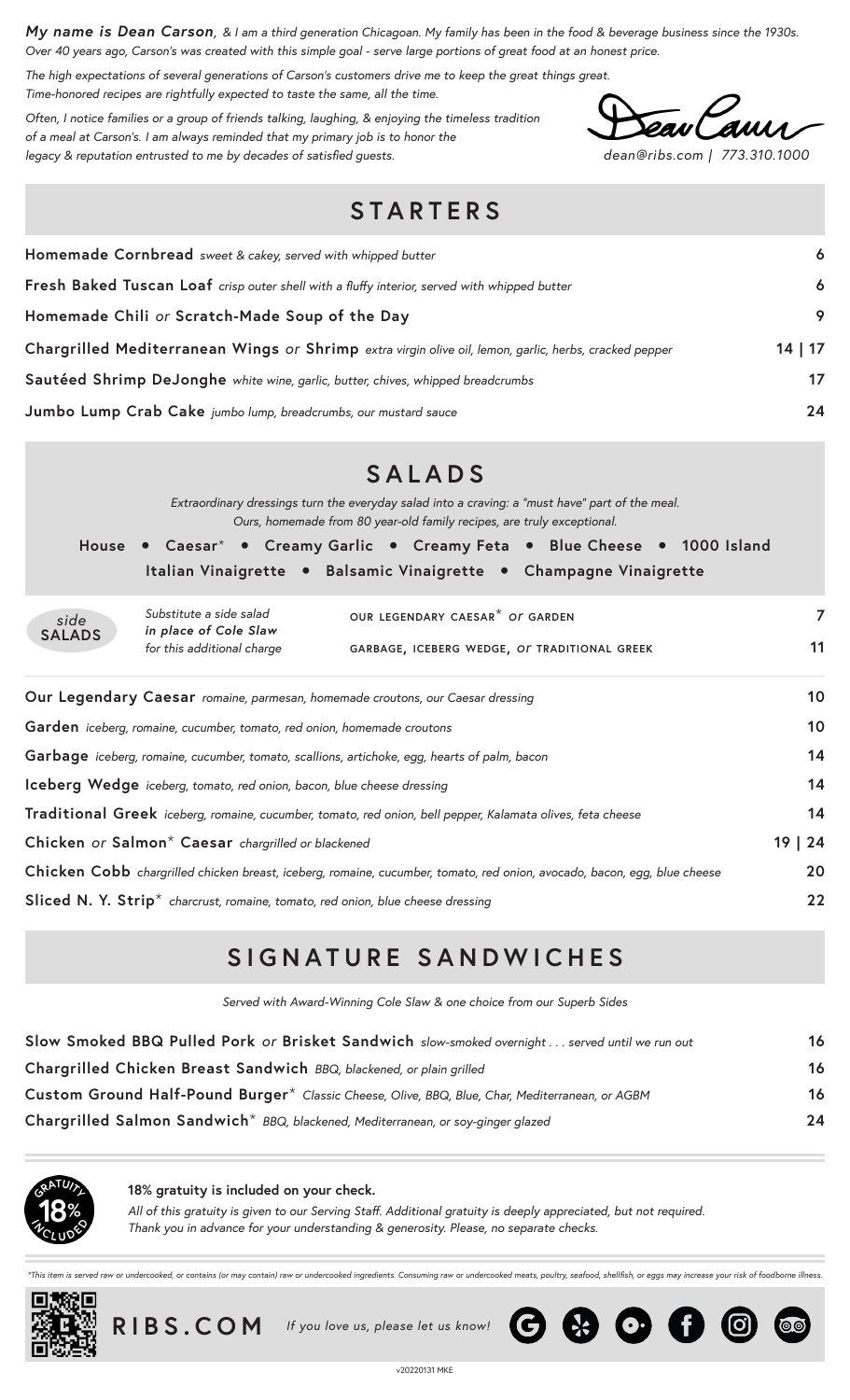*My name is Dean Carson, & I am a third generation Chicagoan. My family has been in the food & beverage business since the 1930s. Over 40 years ago, Carson's was created with this simple goal - serve large portions of great food at an honest price.*

*The high expectations of several generations of Carson's customers drive me to keep the great things great. Time-honored recipes are rightfully expected to taste the same, all the time.*

*Often, I notice families or a group of friends talking, laughing, & enjoying the timeless tradition of a meal at Carson's. I am always reminded that my primary job is to honor the legacy & reputation entrusted to me by decades of satisfied guests. dean@ribs.com | 773.310.1000*

### **STARTERS**

| Homemade Cornbread sweet & cakey, served with whipped butter                                           |       |  |  |  |  |
|--------------------------------------------------------------------------------------------------------|-------|--|--|--|--|
| Fresh Baked Tuscan Loaf crisp outer shell with a fluffy interior, served with whipped butter           | 6     |  |  |  |  |
| Homemade Chili or Scratch-Made Soup of the Day                                                         | 9     |  |  |  |  |
| Chargrilled Mediterranean Wings or Shrimp extra virgin olive oil, lemon, garlic, herbs, cracked pepper | 14 17 |  |  |  |  |
| Sautéed Shrimp DeJonghe white wine, garlic, butter, chives, whipped breadcrumbs                        | 17    |  |  |  |  |
| Jumbo Lump Crab Cake jumbo lump, breadcrumbs, our mustard sauce                                        | 24    |  |  |  |  |

|                                                                                                                          | <b>SALADS</b>                                                                                                                                                             |  |    |  |  |  |  |  |  |  |
|--------------------------------------------------------------------------------------------------------------------------|---------------------------------------------------------------------------------------------------------------------------------------------------------------------------|--|----|--|--|--|--|--|--|--|
|                                                                                                                          | Extraordinary dressings turn the everyday salad into a craving: a "must have" part of the meal.<br>Ours, homemade from 80 year-old family recipes, are truly exceptional. |  |    |  |  |  |  |  |  |  |
|                                                                                                                          | House . Caesar* . Creamy Garlic . Creamy Feta . Blue Cheese . 1000 Island                                                                                                 |  |    |  |  |  |  |  |  |  |
|                                                                                                                          | Italian Vinaigrette • Balsamic Vinaigrette • Champagne Vinaigrette                                                                                                        |  |    |  |  |  |  |  |  |  |
| side                                                                                                                     | Substitute a side salad<br>OUR LEGENDARY CAESAR <sup>*</sup> OF GARDEN<br>in place of Cole Slaw                                                                           |  | 7  |  |  |  |  |  |  |  |
| <b>SALADS</b>                                                                                                            | for this additional charge<br>GARBAGE, ICEBERG WEDGE, OF TRADITIONAL GREEK                                                                                                |  |    |  |  |  |  |  |  |  |
| Our Legendary Caesar romaine, parmesan, homemade croutons, our Caesar dressing                                           |                                                                                                                                                                           |  |    |  |  |  |  |  |  |  |
|                                                                                                                          | Garden iceberg, romaine, cucumber, tomato, red onion, homemade croutons                                                                                                   |  |    |  |  |  |  |  |  |  |
|                                                                                                                          | Garbage iceberg, romaine, cucumber, tomato, scallions, artichoke, egg, hearts of palm, bacon                                                                              |  |    |  |  |  |  |  |  |  |
| Iceberg Wedge iceberg, tomato, red onion, bacon, blue cheese dressing                                                    |                                                                                                                                                                           |  |    |  |  |  |  |  |  |  |
| Traditional Greek iceberg, romaine, cucumber, tomato, red onion, bell pepper, Kalamata olives, feta cheese               |                                                                                                                                                                           |  |    |  |  |  |  |  |  |  |
| 19   24<br>Chicken or Salmon <sup>*</sup> Caesar chargrilled or blackened                                                |                                                                                                                                                                           |  |    |  |  |  |  |  |  |  |
| Chicken Cobb chargrilled chicken breast, iceberg, romaine, cucumber, tomato, red onion, avocado, bacon, egg, blue cheese |                                                                                                                                                                           |  |    |  |  |  |  |  |  |  |
|                                                                                                                          | Sliced N.Y. Strip <sup>*</sup> charcrust, romaine, tomato, red onion, blue cheese dressing                                                                                |  | 22 |  |  |  |  |  |  |  |

# **SIGNATURE SANDWICHES**

*Served with Award-Winning Cole Slaw & one choice from our Superb Sides*

| Slow Smoked BBQ Pulled Pork or Brisket Sandwich slow-smoked overnight  served until we run out  | 16 |
|-------------------------------------------------------------------------------------------------|----|
| Chargrilled Chicken Breast Sandwich BBQ, blackened, or plain grilled                            | 16 |
| Custom Ground Half-Pound Burger* Classic Cheese, Olive, BBQ, Blue, Char, Mediterranean, or AGBM | 16 |
| Chargrilled Salmon Sandwich <sup>*</sup> BBQ, blackened, Mediterranean, or soy-ginger glazed    | 24 |



**18% gratuity is included on your check.**

*All of this gratuity is given to our Serving Staff. Additional gratuity is deeply appreciated, but not required. Thank you in advance for your understanding & generosity. Please, no separate checks.*

d raw or undercooked, or contains (or may contain) raw or undercooked ingredients. Consuming raw or undercooked meats, poultry, seafood, shellfish, or eggs may increase your risk of foodborne illness





 **RIBS.COM** *If you love us, please let us know!* 

 $\bigodot$   $\bigodot$   $\bigodot$   $\bigodot$   $\bigodot$ 

**@**